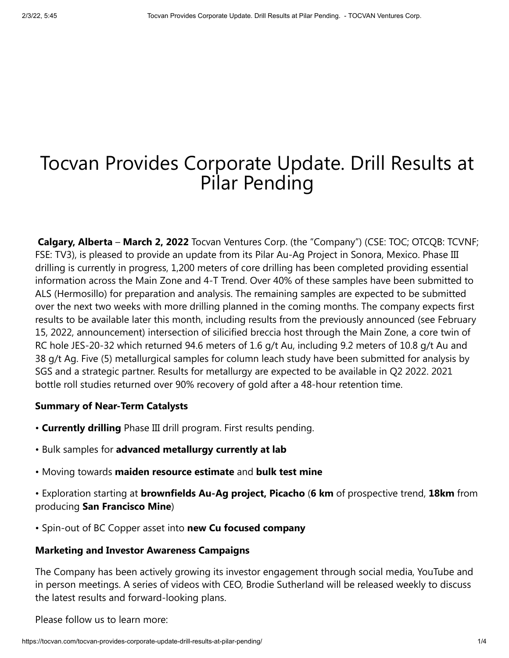# Tocvan Provides Corporate Update. Drill Results at Pilar Pending

**Calgary, Alberta** – **March 2, 2022** Tocvan Ventures Corp. (the "Company") (CSE: TOC; OTCQB: TCVNF; FSE: TV3), is pleased to provide an update from its Pilar Au-Ag Project in Sonora, Mexico. Phase III drilling is currently in progress, 1,200 meters of core drilling has been completed providing essential information across the Main Zone and 4-T Trend. Over 40% of these samples have been submitted to ALS (Hermosillo) for preparation and analysis. The remaining samples are expected to be submitted over the next two weeks with more drilling planned in the coming months. The company expects first results to be available later this month, including results from the previously announced (see February 15, 2022, announcement) intersection of silicified breccia host through the Main Zone, a core twin of RC hole JES-20-32 which returned 94.6 meters of 1.6 g/t Au, including 9.2 meters of 10.8 g/t Au and 38 g/t Ag. Five (5) metallurgical samples for column leach study have been submitted for analysis by SGS and a strategic partner. Results for metallurgy are expected to be available in Q2 2022. 2021 bottle roll studies returned over 90% recovery of gold after a 48-hour retention time.

## **Summary of Near-Term Catalysts**

- **Currently drilling** Phase III drill program. First results pending.
- Bulk samples for **advanced metallurgy currently at lab**
- Moving towards **maiden resource estimate** and **bulk test mine**
- Exploration starting at **brownfields Au-Ag project, Picacho** (**6 km** of prospective trend, **18km** from producing **San Francisco Mine**)
- Spin-out of BC Copper asset into **new Cu focused company**

#### **Marketing and Investor Awareness Campaigns**

The Company has been actively growing its investor engagement through social media, YouTube and in person meetings. A series of videos with CEO, Brodie Sutherland will be released weekly to discuss the latest results and forward-looking plans.

Please follow us to learn more: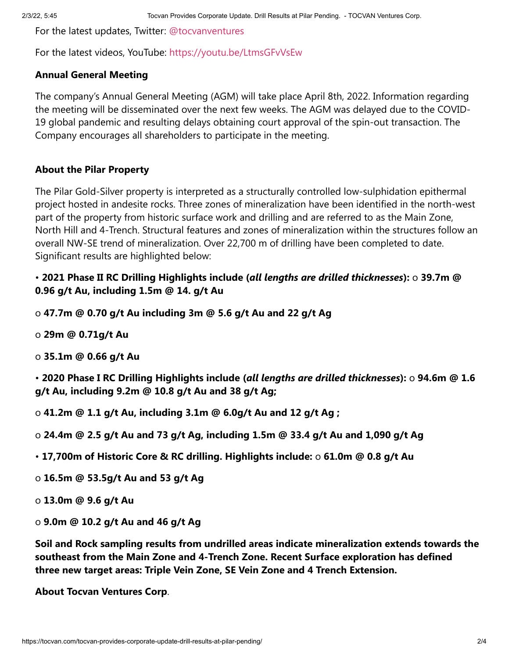For the latest updates, Twitter: [@tocvanventures](https://twitter.com/TOCVANVentures)

For the latest videos, YouTube: <https://youtu.be/LtmsGFvVsEw>

#### **Annual General Meeting**

The company's Annual General Meeting (AGM) will take place April 8th, 2022. Information regarding the meeting will be disseminated over the next few weeks. The AGM was delayed due to the COVID-19 global pandemic and resulting delays obtaining court approval of the spin-out transaction. The Company encourages all shareholders to participate in the meeting.

#### **About the Pilar Property**

The Pilar Gold-Silver property is interpreted as a structurally controlled low-sulphidation epithermal project hosted in andesite rocks. Three zones of mineralization have been identified in the north-west part of the property from historic surface work and drilling and are referred to as the Main Zone, North Hill and 4-Trench. Structural features and zones of mineralization within the structures follow an overall NW-SE trend of mineralization. Over 22,700 m of drilling have been completed to date. Significant results are highlighted below:

## • **2021 Phase II RC Drilling Highlights include (***all lengths are drilled thicknesses***):** o **39.7m @ 0.96 g/t Au, including 1.5m @ 14. g/t Au**

o **47.7m @ 0.70 g/t Au including 3m @ 5.6 g/t Au and 22 g/t Ag**

o **29m @ 0.71g/t Au**

o **35.1m @ 0.66 g/t Au**

• **2020 Phase I RC Drilling Highlights include (***all lengths are drilled thicknesses***):** o **94.6m @ 1.6 g/t Au, including 9.2m @ 10.8 g/t Au and 38 g/t Ag;**

o **41.2m @ 1.1 g/t Au, including 3.1m @ 6.0g/t Au and 12 g/t Ag ;**

o **24.4m @ 2.5 g/t Au and 73 g/t Ag, including 1.5m @ 33.4 g/t Au and 1,090 g/t Ag**

• **17,700m of Historic Core & RC drilling. Highlights include:** o **61.0m @ 0.8 g/t Au**

o **16.5m @ 53.5g/t Au and 53 g/t Ag**

o **13.0m @ 9.6 g/t Au**

o **9.0m @ 10.2 g/t Au and 46 g/t Ag**

**Soil and Rock sampling results from undrilled areas indicate mineralization extends towards the southeast from the Main Zone and 4-Trench Zone. Recent Surface exploration has defined three new target areas: Triple Vein Zone, SE Vein Zone and 4 Trench Extension.**

**About Tocvan Ventures Corp**.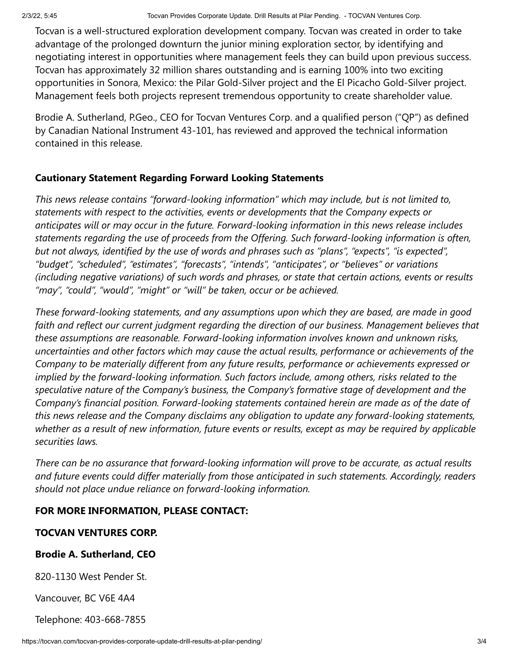2/3/22, 5:45 Tocvan Provides Corporate Update. Drill Results at Pilar Pending. - TOCVAN Ventures Corp.

Tocvan is a well-structured exploration development company. Tocvan was created in order to take advantage of the prolonged downturn the junior mining exploration sector, by identifying and negotiating interest in opportunities where management feels they can build upon previous success. Tocvan has approximately 32 million shares outstanding and is earning 100% into two exciting opportunities in Sonora, Mexico: the Pilar Gold-Silver project and the El Picacho Gold-Silver project. Management feels both projects represent tremendous opportunity to create shareholder value.

Brodie A. Sutherland, P.Geo., CEO for Tocvan Ventures Corp. and a qualified person ("QP") as defined by Canadian National Instrument 43-101, has reviewed and approved the technical information contained in this release.

## **Cautionary Statement Regarding Forward Looking Statements**

*This news release contains "forward-looking information" which may include, but is not limited to, statements with respect to the activities, events or developments that the Company expects or anticipates will or may occur in the future. Forward-looking information in this news release includes statements regarding the use of proceeds from the Offering. Such forward-looking information is often, but not always, identified by the use of words and phrases such as "plans", "expects", "is expected", "budget", "scheduled", "estimates", "forecasts", "intends", "anticipates", or "believes" or variations (including negative variations) of such words and phrases, or state that certain actions, events or results "may", "could", "would", "might" or "will" be taken, occur or be achieved.*

*These forward-looking statements, and any assumptions upon which they are based, are made in good faith and reflect our current judgment regarding the direction of our business. Management believes that these assumptions are reasonable. Forward-looking information involves known and unknown risks, uncertainties and other factors which may cause the actual results, performance or achievements of the Company to be materially different from any future results, performance or achievements expressed or implied by the forward-looking information. Such factors include, among others, risks related to the speculative nature of the Company's business, the Company's formative stage of development and the Company's financial position. Forward-looking statements contained herein are made as of the date of this news release and the Company disclaims any obligation to update any forward-looking statements, whether as a result of new information, future events or results, except as may be required by applicable securities laws.*

*There can be no assurance that forward-looking information will prove to be accurate, as actual results and future events could differ materially from those anticipated in such statements. Accordingly, readers should not place undue reliance on forward-looking information.*

## **FOR MORE INFORMATION, PLEASE CONTACT:**

## **TOCVAN VENTURES CORP.**

## **Brodie A. Sutherland, CEO**

820-1130 West Pender St.

Vancouver, BC V6E 4A4

Telephone: 403-668-7855